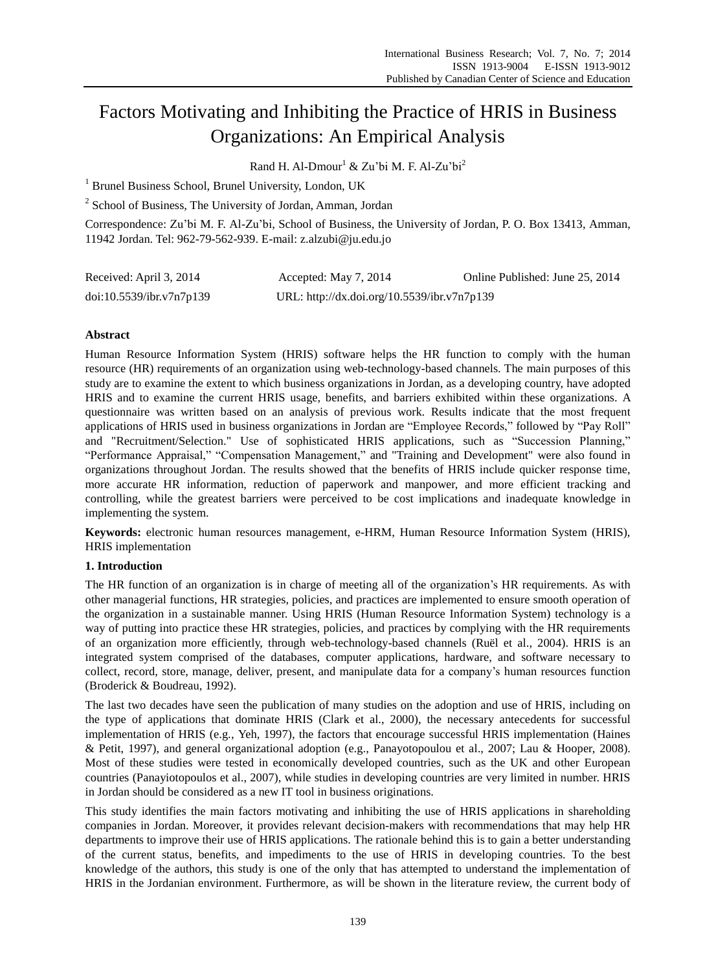# Factors Motivating and Inhibiting the Practice of HRIS in Business Organizations: An Empirical Analysis

Rand H. Al-Dmour<sup>1</sup> & Zu'bi M. F. Al-Zu'bi<sup>2</sup>

<sup>1</sup> Brunel Business School, Brunel University, London, UK

<sup>2</sup> School of Business, The University of Jordan, Amman, Jordan

Correspondence: Zu'bi M. F. Al-Zu'bi, School of Business, the University of Jordan, P. O. Box 13413, Amman, 11942 Jordan. Tel: 962-79-562-939. E-mail: z.alzubi@ju.edu.jo

| Received: April 3, 2014  | Accepted: May 7, 2014                       | Online Published: June 25, 2014 |
|--------------------------|---------------------------------------------|---------------------------------|
| doi:10.5539/ibr.v7n7p139 | URL: http://dx.doi.org/10.5539/ibr.v7n7p139 |                                 |

# **Abstract**

Human Resource Information System (HRIS) software helps the HR function to comply with the human resource (HR) requirements of an organization using web-technology-based channels. The main purposes of this study are to examine the extent to which business organizations in Jordan, as a developing country, have adopted HRIS and to examine the current HRIS usage, benefits, and barriers exhibited within these organizations. A questionnaire was written based on an analysis of previous work. Results indicate that the most frequent applications of HRIS used in business organizations in Jordan are "Employee Records," followed by "Pay Roll" and "Recruitment/Selection." Use of sophisticated HRIS applications, such as "Succession Planning," "Performance Appraisal," "Compensation Management," and "Training and Development" were also found in organizations throughout Jordan. The results showed that the benefits of HRIS include quicker response time, more accurate HR information, reduction of paperwork and manpower, and more efficient tracking and controlling, while the greatest barriers were perceived to be cost implications and inadequate knowledge in implementing the system.

**Keywords:** electronic human resources management, e-HRM, Human Resource Information System (HRIS), HRIS implementation

# **1. Introduction**

The HR function of an organization is in charge of meeting all of the organization's HR requirements. As with other managerial functions, HR strategies, policies, and practices are implemented to ensure smooth operation of the organization in a sustainable manner. Using HRIS (Human Resource Information System) technology is a way of putting into practice these HR strategies, policies, and practices by complying with the HR requirements of an organization more efficiently, through web-technology-based channels (Ruël et al., 2004). HRIS is an integrated system comprised of the databases, computer applications, hardware, and software necessary to collect, record, store, manage, deliver, present, and manipulate data for a company's human resources function (Broderick & Boudreau, 1992).

The last two decades have seen the publication of many studies on the adoption and use of HRIS, including on the type of applications that dominate HRIS (Clark et al., 2000), the necessary antecedents for successful implementation of HRIS (e.g., Yeh, 1997), the factors that encourage successful HRIS implementation (Haines & Petit, 1997), and general organizational adoption (e.g., Panayotopoulou et al., 2007; Lau & Hooper, 2008). Most of these studies were tested in economically developed countries, such as the UK and other European countries (Panayiotopoulos et al., 2007), while studies in developing countries are very limited in number. HRIS in Jordan should be considered as a new IT tool in business originations.

This study identifies the main factors motivating and inhibiting the use of HRIS applications in shareholding companies in Jordan. Moreover, it provides relevant decision-makers with recommendations that may help HR departments to improve their use of HRIS applications. The rationale behind this is to gain a better understanding of the current status, benefits, and impediments to the use of HRIS in developing countries. To the best knowledge of the authors, this study is one of the only that has attempted to understand the implementation of HRIS in the Jordanian environment. Furthermore, as will be shown in the literature review, the current body of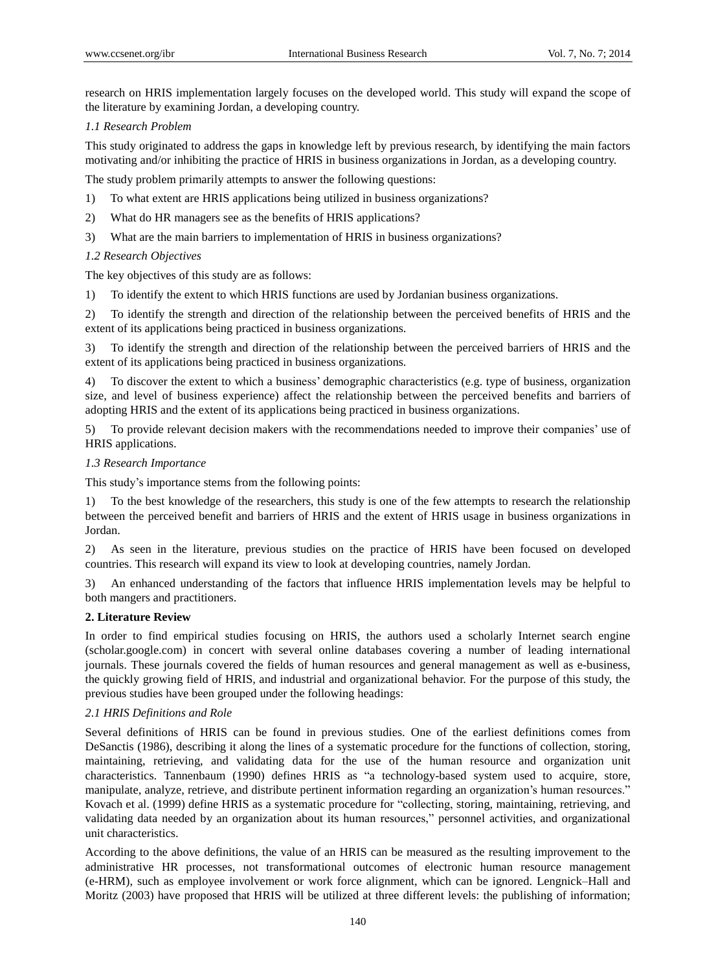research on HRIS implementation largely focuses on the developed world. This study will expand the scope of the literature by examining Jordan, a developing country.

# *1.1 Research Problem*

This study originated to address the gaps in knowledge left by previous research, by identifying the main factors motivating and/or inhibiting the practice of HRIS in business organizations in Jordan, as a developing country.

The study problem primarily attempts to answer the following questions:

- 1) To what extent are HRIS applications being utilized in business organizations?
- 2) What do HR managers see as the benefits of HRIS applications?
- 3) What are the main barriers to implementation of HRIS in business organizations?

# *1.2 Research Objectives*

The key objectives of this study are as follows:

1) To identify the extent to which HRIS functions are used by Jordanian business organizations.

2) To identify the strength and direction of the relationship between the perceived benefits of HRIS and the extent of its applications being practiced in business organizations.

3) To identify the strength and direction of the relationship between the perceived barriers of HRIS and the extent of its applications being practiced in business organizations.

4) To discover the extent to which a business' demographic characteristics (e.g. type of business, organization size, and level of business experience) affect the relationship between the perceived benefits and barriers of adopting HRIS and the extent of its applications being practiced in business organizations.

5) To provide relevant decision makers with the recommendations needed to improve their companies' use of HRIS applications.

# *1.3 Research Importance*

This study's importance stems from the following points:

1) To the best knowledge of the researchers, this study is one of the few attempts to research the relationship between the perceived benefit and barriers of HRIS and the extent of HRIS usage in business organizations in Jordan.

2) As seen in the literature, previous studies on the practice of HRIS have been focused on developed countries. This research will expand its view to look at developing countries, namely Jordan.

3) An enhanced understanding of the factors that influence HRIS implementation levels may be helpful to both mangers and practitioners.

# **2. Literature Review**

In order to find empirical studies focusing on HRIS, the authors used a scholarly Internet search engine (scholar.google.com) in concert with several online databases covering a number of leading international journals. These journals covered the fields of human resources and general management as well as e-business, the quickly growing field of HRIS, and industrial and organizational behavior. For the purpose of this study, the previous studies have been grouped under the following headings:

# *2.1 HRIS Definitions and Role*

Several definitions of HRIS can be found in previous studies. One of the earliest definitions comes from DeSanctis (1986), describing it along the lines of a systematic procedure for the functions of collection, storing, maintaining, retrieving, and validating data for the use of the human resource and organization unit characteristics. Tannenbaum (1990) defines HRIS as "a technology-based system used to acquire, store, manipulate, analyze, retrieve, and distribute pertinent information regarding an organization's human resources." Kovach et al. (1999) define HRIS as a systematic procedure for "collecting, storing, maintaining, retrieving, and validating data needed by an organization about its human resources," personnel activities, and organizational unit characteristics.

According to the above definitions, the value of an HRIS can be measured as the resulting improvement to the administrative HR processes, not transformational outcomes of electronic human resource management (e-HRM), such as employee involvement or work force alignment, which can be ignored. Lengnick–Hall and Moritz (2003) have proposed that HRIS will be utilized at three different levels: the publishing of information;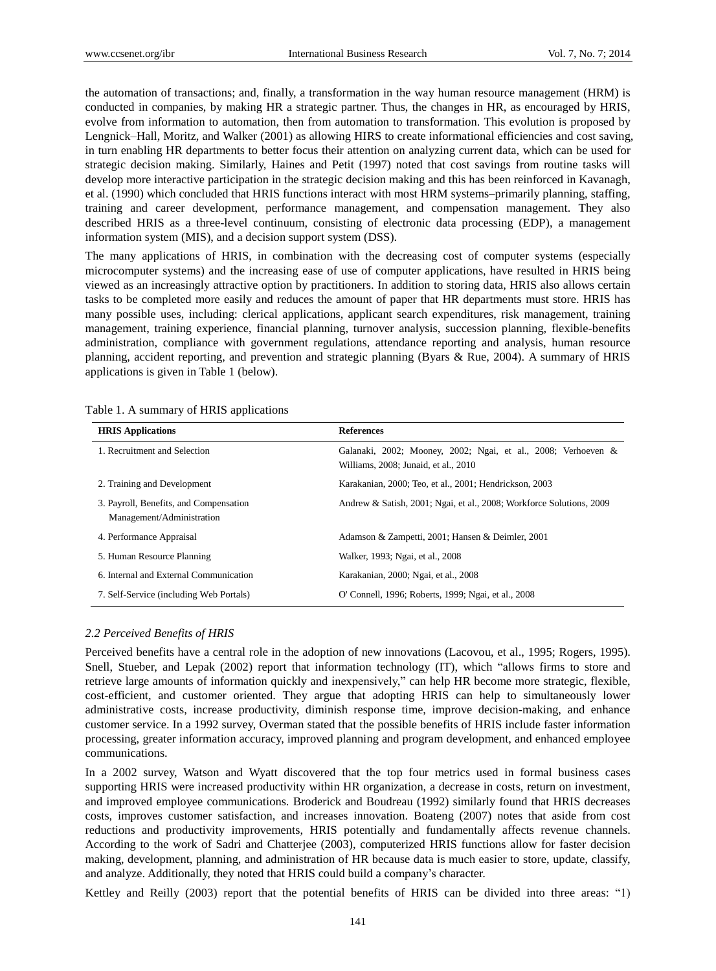the automation of transactions; and, finally, a transformation in the way human resource management (HRM) is conducted in companies, by making HR a strategic partner. Thus, the changes in HR, as encouraged by HRIS, evolve from information to automation, then from automation to transformation. This evolution is proposed by Lengnick–Hall, Moritz, and Walker (2001) as allowing HIRS to create informational efficiencies and cost saving, in turn enabling HR departments to better focus their attention on analyzing current data, which can be used for strategic decision making. Similarly, Haines and Petit (1997) noted that cost savings from routine tasks will develop more interactive participation in the strategic decision making and this has been reinforced in Kavanagh, et al. (1990) which concluded that HRIS functions interact with most HRM systems–primarily planning, staffing, training and career development, performance management, and compensation management. They also described HRIS as a three-level continuum, consisting of electronic data processing (EDP), a management information system (MIS), and a decision support system (DSS).

The many applications of HRIS, in combination with the decreasing cost of computer systems (especially microcomputer systems) and the increasing ease of use of computer applications, have resulted in HRIS being viewed as an increasingly attractive option by practitioners. In addition to storing data, HRIS also allows certain tasks to be completed more easily and reduces the amount of paper that HR departments must store. HRIS has many possible uses, including: clerical applications, applicant search expenditures, risk management, training management, training experience, financial planning, turnover analysis, succession planning, flexible-benefits administration, compliance with government regulations, attendance reporting and analysis, human resource planning, accident reporting, and prevention and strategic planning (Byars & Rue, 2004). A summary of HRIS applications is given in Table 1 (below).

| <b>HRIS Applications</b>                                            | <b>References</b>                                                                                     |
|---------------------------------------------------------------------|-------------------------------------------------------------------------------------------------------|
| 1. Recruitment and Selection                                        | Galanaki, 2002; Mooney, 2002; Ngai, et al., 2008; Verhoeven &<br>Williams, 2008; Junaid, et al., 2010 |
| 2. Training and Development                                         | Karakanian, 2000; Teo, et al., 2001; Hendrickson, 2003                                                |
| 3. Payroll, Benefits, and Compensation<br>Management/Administration | Andrew & Satish, 2001; Ngai, et al., 2008; Workforce Solutions, 2009                                  |
| 4. Performance Appraisal                                            | Adamson & Zampetti, 2001; Hansen & Deimler, 2001                                                      |
| 5. Human Resource Planning                                          | Walker, 1993; Ngai, et al., 2008                                                                      |
| 6. Internal and External Communication                              | Karakanian, 2000; Ngai, et al., 2008                                                                  |
| 7. Self-Service (including Web Portals)                             | O' Connell, 1996; Roberts, 1999; Ngai, et al., 2008                                                   |

Table 1. A summary of HRIS applications

#### *2.2 Perceived Benefits of HRIS*

Perceived benefits have a central role in the adoption of new innovations (Lacovou, et al., 1995; Rogers, 1995). Snell, Stueber, and Lepak (2002) report that information technology (IT), which "allows firms to store and retrieve large amounts of information quickly and inexpensively," can help HR become more strategic, flexible, cost-efficient, and customer oriented. They argue that adopting HRIS can help to simultaneously lower administrative costs, increase productivity, diminish response time, improve decision-making, and enhance customer service. In a 1992 survey, Overman stated that the possible benefits of HRIS include faster information processing, greater information accuracy, improved planning and program development, and enhanced employee communications.

In a 2002 survey, Watson and Wyatt discovered that the top four metrics used in formal business cases supporting HRIS were increased productivity within HR organization, a decrease in costs, return on investment, and improved employee communications. Broderick and Boudreau (1992) similarly found that HRIS decreases costs, improves customer satisfaction, and increases innovation. Boateng (2007) notes that aside from cost reductions and productivity improvements, HRIS potentially and fundamentally affects revenue channels. According to the work of Sadri and Chatterjee (2003), computerized HRIS functions allow for faster decision making, development, planning, and administration of HR because data is much easier to store, update, classify, and analyze. Additionally, they noted that HRIS could build a company's character.

Kettley and Reilly (2003) report that the potential benefits of HRIS can be divided into three areas: "1)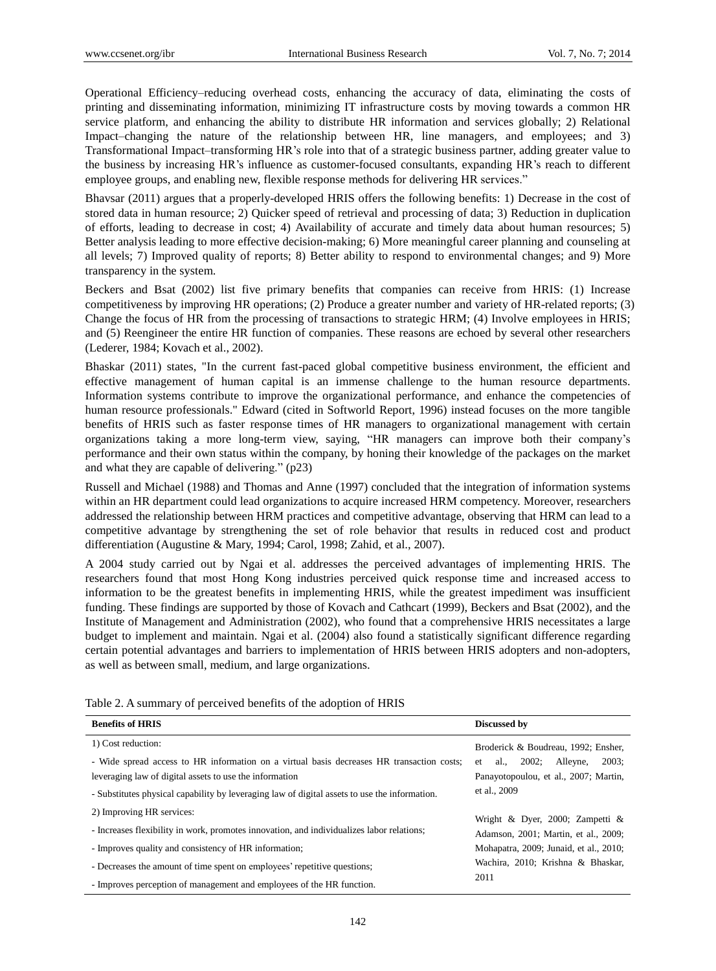Operational Efficiency–reducing overhead costs, enhancing the accuracy of data, eliminating the costs of printing and disseminating information, minimizing IT infrastructure costs by moving towards a common HR service platform, and enhancing the ability to distribute HR information and services globally; 2) Relational Impact–changing the nature of the relationship between HR, line managers, and employees; and 3) Transformational Impact–transforming HR's role into that of a strategic business partner, adding greater value to the business by increasing HR's influence as customer-focused consultants, expanding HR's reach to different employee groups, and enabling new, flexible response methods for delivering HR services."

Bhavsar (2011) argues that a properly-developed HRIS offers the following benefits: 1) Decrease in the cost of stored data in human resource; 2) Quicker speed of retrieval and processing of data; 3) Reduction in duplication of efforts, leading to decrease in cost; 4) Availability of accurate and timely data about human resources; 5) Better analysis leading to more effective decision-making; 6) More meaningful career planning and counseling at all levels; 7) Improved quality of reports; 8) Better ability to respond to environmental changes; and 9) More transparency in the system.

Beckers and Bsat (2002) list five primary benefits that companies can receive from HRIS: (1) Increase competitiveness by improving HR operations; (2) Produce a greater number and variety of HR-related reports; (3) Change the focus of HR from the processing of transactions to strategic HRM; (4) Involve employees in HRIS; and (5) Reengineer the entire HR function of companies. These reasons are echoed by several other researchers (Lederer, 1984; Kovach et al., 2002).

Bhaskar (2011) states, "In the current fast-paced global competitive business environment, the efficient and effective management of human capital is an immense challenge to the human resource departments. Information systems contribute to improve the organizational performance, and enhance the competencies of human resource professionals." Edward (cited in Softworld Report, 1996) instead focuses on the more tangible benefits of HRIS such as faster response times of HR managers to organizational management with certain organizations taking a more long-term view, saying, "HR managers can improve both their company's performance and their own status within the company, by honing their knowledge of the packages on the market and what they are capable of delivering." (p23)

Russell and Michael (1988) and Thomas and Anne (1997) concluded that the integration of information systems within an HR department could lead organizations to acquire increased HRM competency. Moreover, researchers addressed the relationship between HRM practices and competitive advantage, observing that HRM can lead to a competitive advantage by strengthening the set of role behavior that results in reduced cost and product differentiation (Augustine & Mary, 1994; Carol, 1998; Zahid, et al., 2007).

A 2004 study carried out by Ngai et al. addresses the perceived advantages of implementing HRIS. The researchers found that most Hong Kong industries perceived quick response time and increased access to information to be the greatest benefits in implementing HRIS, while the greatest impediment was insufficient funding. These findings are supported by those of Kovach and Cathcart (1999), Beckers and Bsat (2002), and the Institute of Management and Administration (2002), who found that a comprehensive HRIS necessitates a large budget to implement and maintain. Ngai et al. (2004) also found a statistically significant difference regarding certain potential advantages and barriers to implementation of HRIS between HRIS adopters and non-adopters, as well as between small, medium, and large organizations.

| <b>Benefits of HRIS</b>                                                                       | Discussed by                             |
|-----------------------------------------------------------------------------------------------|------------------------------------------|
| 1) Cost reduction:                                                                            | Broderick & Boudreau, 1992; Ensher,      |
| - Wide spread access to HR information on a virtual basis decreases HR transaction costs;     | 2002:<br>2003:<br>Alleyne,<br>al.,<br>et |
| leveraging law of digital assets to use the information                                       | Panayotopoulou, et al., 2007; Martin,    |
| - Substitutes physical capability by leveraging law of digital assets to use the information. | et al., 2009                             |
| 2) Improving HR services:                                                                     | Wright & Dyer, 2000; Zampetti &          |
| - Increases flexibility in work, promotes innovation, and individualizes labor relations;     | Adamson, 2001; Martin, et al., 2009;     |
| - Improves quality and consistency of HR information;                                         | Mohapatra, 2009; Junaid, et al., 2010;   |
| - Decreases the amount of time spent on employees' repetitive questions;                      | Wachira, 2010; Krishna & Bhaskar,        |
| - Improves perception of management and employees of the HR function.                         | 2011                                     |

Table 2. A summary of perceived benefits of the adoption of HRIS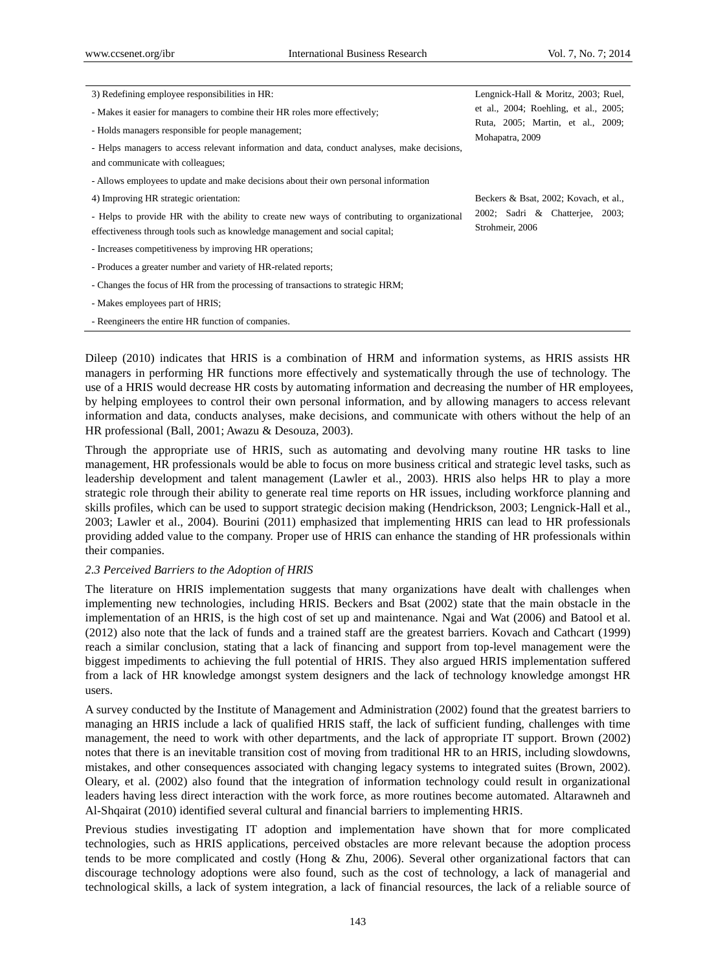| 3) Redefining employee responsibilities in HR:                                                                                                                              | Lengnick-Hall & Moritz, 2003; Ruel,                  |
|-----------------------------------------------------------------------------------------------------------------------------------------------------------------------------|------------------------------------------------------|
| - Makes it easier for managers to combine their HR roles more effectively;                                                                                                  | et al., 2004; Roehling, et al., 2005;                |
| - Holds managers responsible for people management;                                                                                                                         | Ruta, 2005; Martin, et al., 2009;<br>Mohapatra, 2009 |
| - Helps managers to access relevant information and data, conduct analyses, make decisions,<br>and communicate with colleagues;                                             |                                                      |
| - Allows employees to update and make decisions about their own personal information                                                                                        |                                                      |
| 4) Improving HR strategic orientation:                                                                                                                                      | Beckers & Bsat, 2002; Kovach, et al.,                |
| - Helps to provide HR with the ability to create new ways of contributing to organizational<br>effectiveness through tools such as knowledge management and social capital; | 2002; Sadri & Chatterjee, 2003;<br>Strohmeir, 2006   |
| - Increases competitiveness by improving HR operations;                                                                                                                     |                                                      |
| - Produces a greater number and variety of HR-related reports;                                                                                                              |                                                      |
| - Changes the focus of HR from the processing of transactions to strategic HRM;                                                                                             |                                                      |
| - Makes employees part of HRIS;                                                                                                                                             |                                                      |
| - Reengineers the entire HR function of companies.                                                                                                                          |                                                      |

Dileep (2010) indicates that HRIS is a combination of HRM and information systems, as HRIS assists HR managers in performing HR functions more effectively and systematically through the use of technology. The use of a HRIS would decrease HR costs by automating information and decreasing the number of HR employees, by helping employees to control their own personal information, and by allowing managers to access relevant information and data, conducts analyses, make decisions, and communicate with others without the help of an HR professional (Ball, 2001; Awazu & Desouza, 2003).

Through the appropriate use of HRIS, such as automating and devolving many routine HR tasks to line management, HR professionals would be able to focus on more business critical and strategic level tasks, such as leadership development and talent management (Lawler et al., 2003). HRIS also helps HR to play a more strategic role through their ability to generate real time reports on HR issues, including workforce planning and skills profiles, which can be used to support strategic decision making (Hendrickson, 2003; Lengnick-Hall et al., 2003; Lawler et al., 2004). Bourini (2011) emphasized that implementing HRIS can lead to HR professionals providing added value to the company. Proper use of HRIS can enhance the standing of HR professionals within their companies.

## *2.3 Perceived Barriers to the Adoption of HRIS*

The literature on HRIS implementation suggests that many organizations have dealt with challenges when implementing new technologies, including HRIS. Beckers and Bsat (2002) state that the main obstacle in the implementation of an HRIS, is the high cost of set up and maintenance. Ngai and Wat (2006) and Batool et al. (2012) also note that the lack of funds and a trained staff are the greatest barriers. Kovach and Cathcart (1999) reach a similar conclusion, stating that a lack of financing and support from top-level management were the biggest impediments to achieving the full potential of HRIS. They also argued HRIS implementation suffered from a lack of HR knowledge amongst system designers and the lack of technology knowledge amongst HR users.

A survey conducted by the Institute of Management and Administration (2002) found that the greatest barriers to managing an HRIS include a lack of qualified HRIS staff, the lack of sufficient funding, challenges with time management, the need to work with other departments, and the lack of appropriate IT support. Brown (2002) notes that there is an inevitable transition cost of moving from traditional HR to an HRIS, including slowdowns, mistakes, and other consequences associated with changing legacy systems to integrated suites (Brown, 2002). Oleary, et al. (2002) also found that the integration of information technology could result in organizational leaders having less direct interaction with the work force, as more routines become automated. Altarawneh and Al-Shqairat (2010) identified several cultural and financial barriers to implementing HRIS.

Previous studies investigating IT adoption and implementation have shown that for more complicated technologies, such as HRIS applications, perceived obstacles are more relevant because the adoption process tends to be more complicated and costly (Hong  $&$  Zhu, 2006). Several other organizational factors that can discourage technology adoptions were also found, such as the cost of technology, a lack of managerial and technological skills, a lack of system integration, a lack of financial resources, the lack of a reliable source of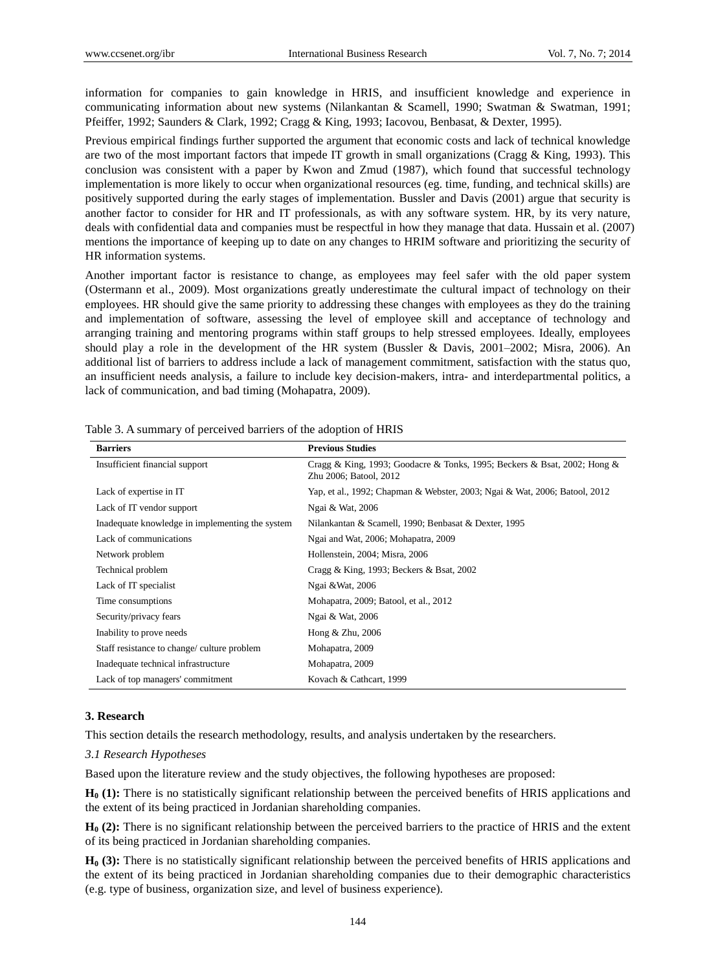information for companies to gain knowledge in HRIS, and insufficient knowledge and experience in communicating information about new systems (Nilankantan & Scamell, 1990; Swatman & Swatman, 1991; Pfeiffer, 1992; Saunders & Clark, 1992; Cragg & King, 1993; Iacovou, Benbasat, & Dexter, 1995).

Previous empirical findings further supported the argument that economic costs and lack of technical knowledge are two of the most important factors that impede IT growth in small organizations (Cragg & King, 1993). This conclusion was consistent with a paper by Kwon and Zmud (1987), which found that successful technology implementation is more likely to occur when organizational resources (eg. time, funding, and technical skills) are positively supported during the early stages of implementation. Bussler and Davis (2001) argue that security is another factor to consider for HR and IT professionals, as with any software system. HR, by its very nature, deals with confidential data and companies must be respectful in how they manage that data. Hussain et al. (2007) mentions the importance of keeping up to date on any changes to HRIM software and prioritizing the security of HR information systems.

Another important factor is resistance to change, as employees may feel safer with the old paper system (Ostermann et al., 2009). Most organizations greatly underestimate the cultural impact of technology on their employees. HR should give the same priority to addressing these changes with employees as they do the training and implementation of software, assessing the level of employee skill and acceptance of technology and arranging training and mentoring programs within staff groups to help stressed employees. Ideally, employees should play a role in the development of the HR system (Bussler & Davis, 2001–2002; Misra, 2006). An additional list of barriers to address include a lack of management commitment, satisfaction with the status quo, an insufficient needs analysis, a failure to include key decision-makers, intra- and interdepartmental politics, a lack of communication, and bad timing (Mohapatra, 2009).

| <b>Barriers</b>                                 | <b>Previous Studies</b>                                                                            |
|-------------------------------------------------|----------------------------------------------------------------------------------------------------|
| Insufficient financial support                  | Cragg & King, 1993; Goodacre & Tonks, 1995; Beckers & Bsat, 2002; Hong &<br>Zhu 2006; Batool, 2012 |
| Lack of expertise in IT                         | Yap, et al., 1992; Chapman & Webster, 2003; Ngai & Wat, 2006; Batool, 2012                         |
| Lack of IT vendor support                       | Ngai & Wat, 2006                                                                                   |
| Inadequate knowledge in implementing the system | Nilankantan & Scamell, 1990; Benbasat & Dexter, 1995                                               |
| Lack of communications                          | Ngai and Wat, 2006; Mohapatra, 2009                                                                |
| Network problem                                 | Hollenstein, 2004; Misra, 2006                                                                     |
| Technical problem                               | Cragg & King, 1993; Beckers & Bsat, 2002                                                           |
| Lack of IT specialist                           | Ngai & Wat, 2006                                                                                   |
| Time consumptions                               | Mohapatra, 2009; Batool, et al., 2012                                                              |
| Security/privacy fears                          | Ngai & Wat, 2006                                                                                   |
| Inability to prove needs                        | Hong & Zhu, 2006                                                                                   |
| Staff resistance to change/ culture problem     | Mohapatra, 2009                                                                                    |
| Inadequate technical infrastructure             | Mohapatra, 2009                                                                                    |
| Lack of top managers' commitment                | Kovach & Cathcart, 1999                                                                            |

Table 3. A summary of perceived barriers of the adoption of HRIS

## **3. Research**

This section details the research methodology, results, and analysis undertaken by the researchers.

#### *3.1 Research Hypotheses*

Based upon the literature review and the study objectives, the following hypotheses are proposed:

**H<sup>0</sup> (1):** There is no statistically significant relationship between the perceived benefits of HRIS applications and the extent of its being practiced in Jordanian shareholding companies.

**H<sup>0</sup> (2):** There is no significant relationship between the perceived barriers to the practice of HRIS and the extent of its being practiced in Jordanian shareholding companies.

**H<sup>0</sup> (3):** There is no statistically significant relationship between the perceived benefits of HRIS applications and the extent of its being practiced in Jordanian shareholding companies due to their demographic characteristics (e.g. type of business, organization size, and level of business experience).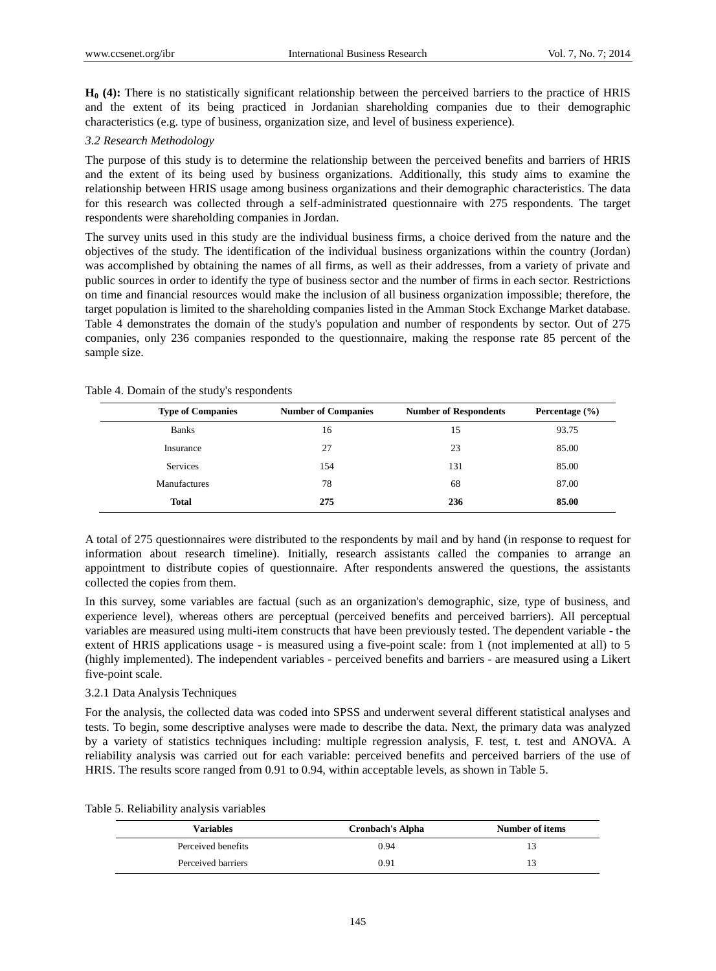**H<sup>0</sup> (4):** There is no statistically significant relationship between the perceived barriers to the practice of HRIS and the extent of its being practiced in Jordanian shareholding companies due to their demographic characteristics (e.g. type of business, organization size, and level of business experience).

# *3.2 Research Methodology*

The purpose of this study is to determine the relationship between the perceived benefits and barriers of HRIS and the extent of its being used by business organizations. Additionally, this study aims to examine the relationship between HRIS usage among business organizations and their demographic characteristics. The data for this research was collected through a self-administrated questionnaire with 275 respondents. The target respondents were shareholding companies in Jordan.

The survey units used in this study are the individual business firms, a choice derived from the nature and the objectives of the study. The identification of the individual business organizations within the country (Jordan) was accomplished by obtaining the names of all firms, as well as their addresses, from a variety of private and public sources in order to identify the type of business sector and the number of firms in each sector. Restrictions on time and financial resources would make the inclusion of all business organization impossible; therefore, the target population is limited to the shareholding companies listed in the Amman Stock Exchange Market database. Table 4 demonstrates the domain of the study's population and number of respondents by sector. Out of 275 companies, only 236 companies responded to the questionnaire, making the response rate 85 percent of the sample size.

| <b>Type of Companies</b> | <b>Number of Companies</b> | <b>Number of Respondents</b> | Percentage $(\% )$ |
|--------------------------|----------------------------|------------------------------|--------------------|
| <b>Banks</b>             | 16                         | 15                           | 93.75              |
| Insurance                | 27                         | 23                           | 85.00              |
| <b>Services</b>          | 154                        | 131                          | 85.00              |
| Manufactures             | 78                         | 68                           | 87.00              |
| <b>Total</b>             | 275                        | 236                          | 85.00              |

Table 4. Domain of the study's respondents

A total of 275 questionnaires were distributed to the respondents by mail and by hand (in response to request for information about research timeline). Initially, research assistants called the companies to arrange an appointment to distribute copies of questionnaire. After respondents answered the questions, the assistants collected the copies from them.

In this survey, some variables are factual (such as an organization's demographic, size, type of business, and experience level), whereas others are perceptual (perceived benefits and perceived barriers). All perceptual variables are measured using multi-item constructs that have been previously tested. The dependent variable - the extent of HRIS applications usage - is measured using a five-point scale: from 1 (not implemented at all) to 5 (highly implemented). The independent variables - perceived benefits and barriers - are measured using a Likert five-point scale.

#### 3.2.1 Data Analysis Techniques

For the analysis, the collected data was coded into SPSS and underwent several different statistical analyses and tests. To begin, some descriptive analyses were made to describe the data. Next, the primary data was analyzed by a variety of statistics techniques including: multiple regression analysis, F. test, t. test and ANOVA. A reliability analysis was carried out for each variable: perceived benefits and perceived barriers of the use of HRIS. The results score ranged from 0.91 to 0.94, within acceptable levels, as shown in Table 5.

|  | Table 5. Reliability analysis variables |  |  |
|--|-----------------------------------------|--|--|
|--|-----------------------------------------|--|--|

| Variables          | <b>Cronbach's Alpha</b> | Number of items |
|--------------------|-------------------------|-----------------|
| Perceived benefits | 0.94                    | 13              |
| Perceived barriers | 0.91                    | 13              |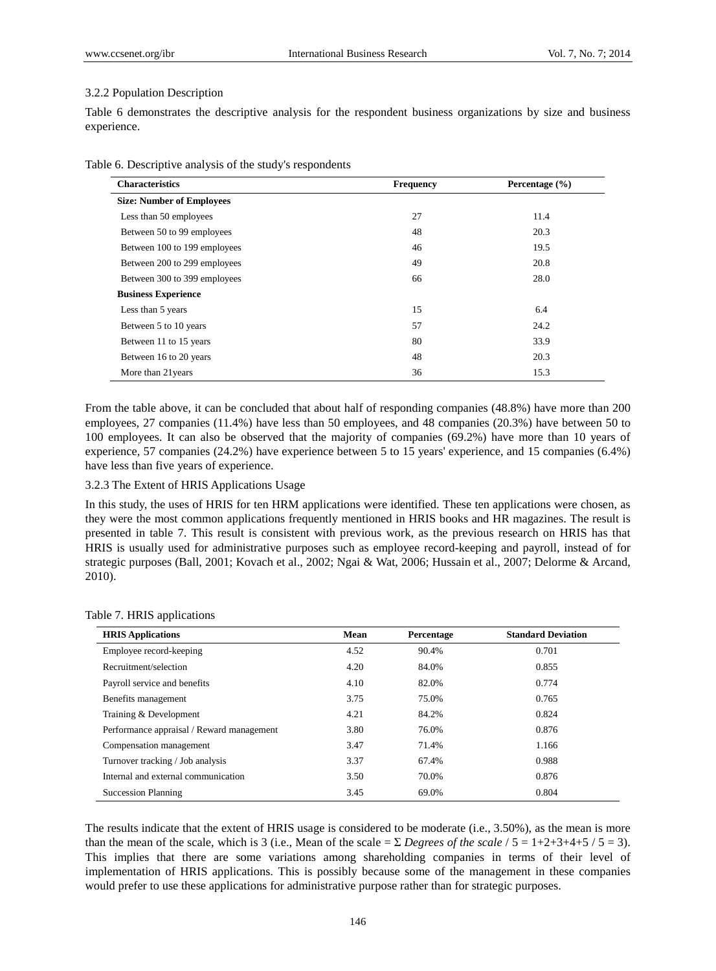## 3.2.2 Population Description

Table 6 demonstrates the descriptive analysis for the respondent business organizations by size and business experience.

| <b>Characteristics</b>           | <b>Frequency</b> | Percentage $(\% )$ |
|----------------------------------|------------------|--------------------|
| <b>Size: Number of Employees</b> |                  |                    |
| Less than 50 employees           | 27               | 11.4               |
| Between 50 to 99 employees       | 48               | 20.3               |
| Between 100 to 199 employees     | 46               | 19.5               |
| Between 200 to 299 employees     | 49               | 20.8               |
| Between 300 to 399 employees     | 66               | 28.0               |
| <b>Business Experience</b>       |                  |                    |
| Less than 5 years                | 15               | 6.4                |
| Between 5 to 10 years            | 57               | 24.2               |
| Between 11 to 15 years           | 80               | 33.9               |
| Between 16 to 20 years           | 48               | 20.3               |
| More than 21 years               | 36               | 15.3               |

|  |  |  | Table 6. Descriptive analysis of the study's respondents |
|--|--|--|----------------------------------------------------------|
|  |  |  |                                                          |

From the table above, it can be concluded that about half of responding companies (48.8%) have more than 200 employees, 27 companies (11.4%) have less than 50 employees, and 48 companies (20.3%) have between 50 to 100 employees. It can also be observed that the majority of companies (69.2%) have more than 10 years of experience, 57 companies (24.2%) have experience between 5 to 15 years' experience, and 15 companies (6.4%) have less than five years of experience.

3.2.3 The Extent of HRIS Applications Usage

In this study, the uses of HRIS for ten HRM applications were identified. These ten applications were chosen, as they were the most common applications frequently mentioned in HRIS books and HR magazines. The result is presented in table 7. This result is consistent with previous work, as the previous research on HRIS has that HRIS is usually used for administrative purposes such as employee record-keeping and payroll, instead of for strategic purposes (Ball, 2001; Kovach et al., 2002; Ngai & Wat, 2006; Hussain et al., 2007; Delorme & Arcand, 2010).

| <b>HRIS Applications</b>                  | Mean | Percentage | <b>Standard Deviation</b> |
|-------------------------------------------|------|------------|---------------------------|
| Employee record-keeping                   | 4.52 | 90.4%      | 0.701                     |
| Recruitment/selection                     | 4.20 | 84.0%      | 0.855                     |
| Payroll service and benefits              | 4.10 | 82.0%      | 0.774                     |
| Benefits management                       | 3.75 | 75.0%      | 0.765                     |
| Training & Development                    | 4.21 | 84.2%      | 0.824                     |
| Performance appraisal / Reward management | 3.80 | 76.0%      | 0.876                     |
| Compensation management                   | 3.47 | 71.4%      | 1.166                     |
| Turnover tracking / Job analysis          | 3.37 | 67.4%      | 0.988                     |
| Internal and external communication       | 3.50 | 70.0%      | 0.876                     |
| <b>Succession Planning</b>                | 3.45 | 69.0%      | 0.804                     |

Table 7. HRIS applications

The results indicate that the extent of HRIS usage is considered to be moderate (i.e., 3.50%), as the mean is more than the mean of the scale, which is 3 (i.e., Mean of the scale  $= \sum_{n=1}^{n}$  *Degrees of the scale* / 5 = 1+2+3+4+5 / 5 = 3). This implies that there are some variations among shareholding companies in terms of their level of implementation of HRIS applications. This is possibly because some of the management in these companies would prefer to use these applications for administrative purpose rather than for strategic purposes.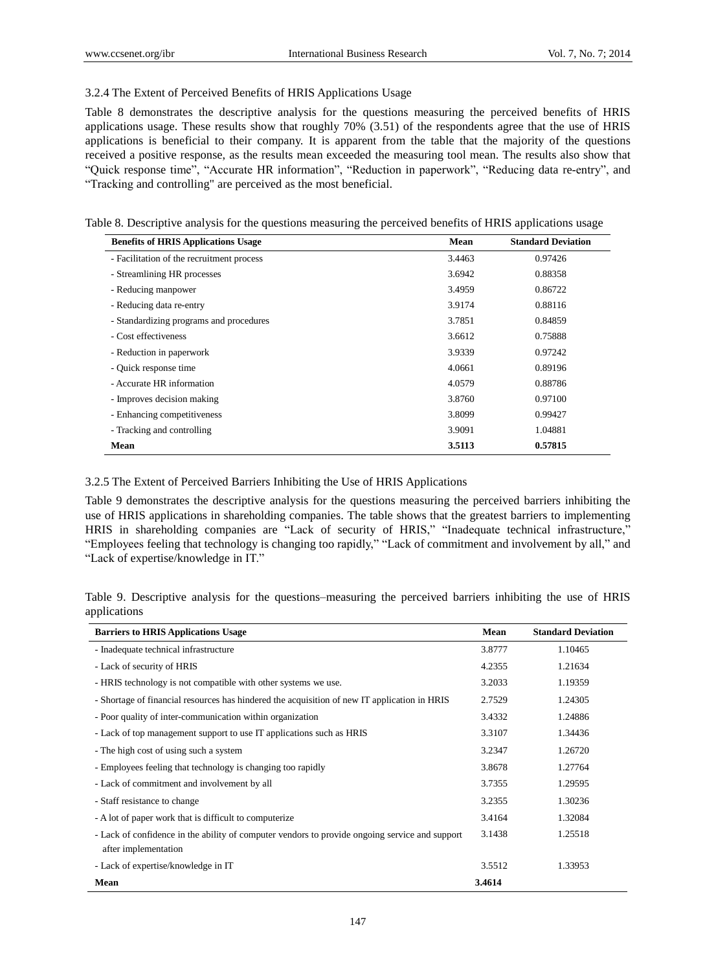#### 3.2.4 The Extent of Perceived Benefits of HRIS Applications Usage

Table 8 demonstrates the descriptive analysis for the questions measuring the perceived benefits of HRIS applications usage. These results show that roughly 70% (3.51) of the respondents agree that the use of HRIS applications is beneficial to their company. It is apparent from the table that the majority of the questions received a positive response, as the results mean exceeded the measuring tool mean. The results also show that "Quick response time", "Accurate HR information", "Reduction in paperwork", "Reducing data re-entry", and "Tracking and controlling" are perceived as the most beneficial.

|  | Table 8. Descriptive analysis for the questions measuring the perceived benefits of HRIS applications usage |  |  |  |
|--|-------------------------------------------------------------------------------------------------------------|--|--|--|
|  |                                                                                                             |  |  |  |

| <b>Benefits of HRIS Applications Usage</b> | Mean   | <b>Standard Deviation</b> |
|--------------------------------------------|--------|---------------------------|
| - Facilitation of the recruitment process  | 3.4463 | 0.97426                   |
| - Streamlining HR processes                | 3.6942 | 0.88358                   |
| - Reducing manpower                        | 3.4959 | 0.86722                   |
| - Reducing data re-entry                   | 3.9174 | 0.88116                   |
| - Standardizing programs and procedures    | 3.7851 | 0.84859                   |
| - Cost effectiveness                       | 3.6612 | 0.75888                   |
| - Reduction in paperwork                   | 3.9339 | 0.97242                   |
| - Quick response time                      | 4.0661 | 0.89196                   |
| - Accurate HR information                  | 4.0579 | 0.88786                   |
| - Improves decision making                 | 3.8760 | 0.97100                   |
| - Enhancing competitiveness                | 3.8099 | 0.99427                   |
| - Tracking and controlling                 | 3.9091 | 1.04881                   |
| <b>Mean</b>                                | 3.5113 | 0.57815                   |

3.2.5 The Extent of Perceived Barriers Inhibiting the Use of HRIS Applications

Table 9 demonstrates the descriptive analysis for the questions measuring the perceived barriers inhibiting the use of HRIS applications in shareholding companies. The table shows that the greatest barriers to implementing HRIS in shareholding companies are "Lack of security of HRIS," "Inadequate technical infrastructure," "Employees feeling that technology is changing too rapidly," "Lack of commitment and involvement by all," and "Lack of expertise/knowledge in IT."

Table 9. Descriptive analysis for the questions–measuring the perceived barriers inhibiting the use of HRIS applications

| <b>Barriers to HRIS Applications Usage</b>                                                                             | Mean   | <b>Standard Deviation</b> |
|------------------------------------------------------------------------------------------------------------------------|--------|---------------------------|
| - Inadequate technical infrastructure                                                                                  | 3.8777 | 1.10465                   |
| - Lack of security of HRIS                                                                                             | 4.2355 | 1.21634                   |
| - HRIS technology is not compatible with other systems we use.                                                         | 3.2033 | 1.19359                   |
| - Shortage of financial resources has hindered the acquisition of new IT application in HRIS                           | 2.7529 | 1.24305                   |
| - Poor quality of inter-communication within organization                                                              | 3.4332 | 1.24886                   |
| - Lack of top management support to use IT applications such as HRIS                                                   | 3.3107 | 1.34436                   |
| - The high cost of using such a system                                                                                 | 3.2347 | 1.26720                   |
| - Employees feeling that technology is changing too rapidly                                                            | 3.8678 | 1.27764                   |
| - Lack of commitment and involvement by all                                                                            | 3.7355 | 1.29595                   |
| - Staff resistance to change                                                                                           | 3.2355 | 1.30236                   |
| - A lot of paper work that is difficult to computerize                                                                 | 3.4164 | 1.32084                   |
| - Lack of confidence in the ability of computer vendors to provide ongoing service and support<br>after implementation | 3.1438 | 1.25518                   |
| - Lack of expertise/knowledge in IT                                                                                    | 3.5512 | 1.33953                   |
| <b>Mean</b>                                                                                                            | 3.4614 |                           |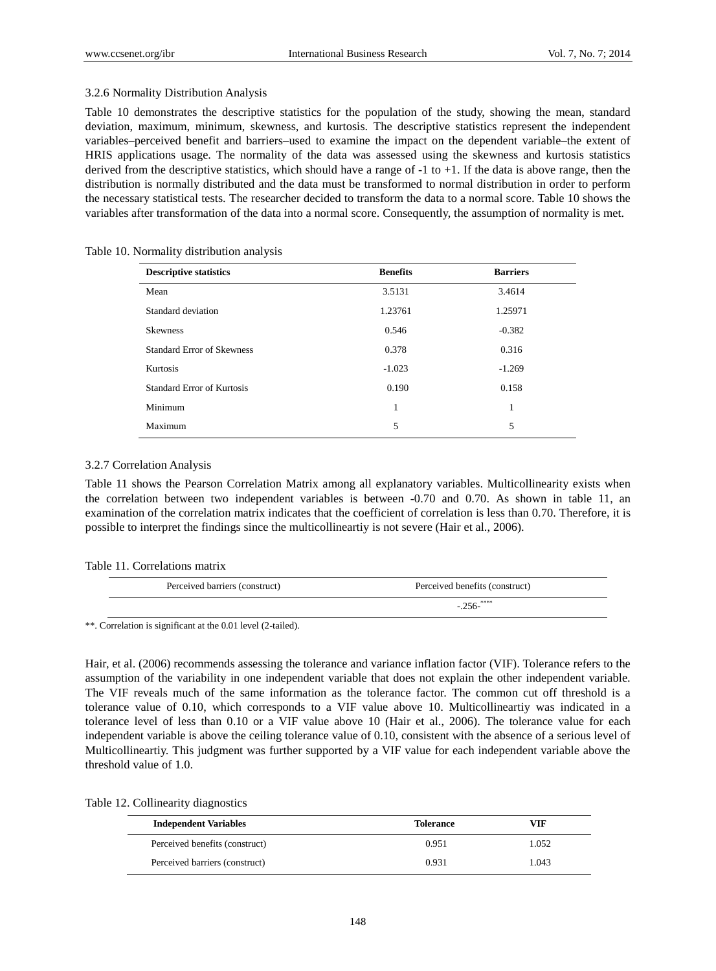## 3.2.6 Normality Distribution Analysis

Table 10 demonstrates the descriptive statistics for the population of the study, showing the mean, standard deviation, maximum, minimum, skewness, and kurtosis. The descriptive statistics represent the independent variables–perceived benefit and barriers–used to examine the impact on the dependent variable–the extent of HRIS applications usage. The normality of the data was assessed using the skewness and kurtosis statistics derived from the descriptive statistics, which should have a range of  $-1$  to  $+1$ . If the data is above range, then the distribution is normally distributed and the data must be transformed to normal distribution in order to perform the necessary statistical tests. The researcher decided to transform the data to a normal score. Table 10 shows the variables after transformation of the data into a normal score. Consequently, the assumption of normality is met.

| <b>Descriptive statistics</b>     | <b>Benefits</b> | <b>Barriers</b> |
|-----------------------------------|-----------------|-----------------|
| Mean                              | 3.5131          | 3.4614          |
| Standard deviation                | 1.23761         | 1.25971         |
| <b>Skewness</b>                   | 0.546           | $-0.382$        |
| <b>Standard Error of Skewness</b> | 0.378           | 0.316           |
| Kurtosis                          | $-1.023$        | $-1.269$        |
| <b>Standard Error of Kurtosis</b> | 0.190           | 0.158           |
| Minimum                           | 1               | 1               |
| Maximum                           | 5               | 5               |

Table 10. Normality distribution analysis

#### 3.2.7 Correlation Analysis

Table 11 shows the Pearson Correlation Matrix among all explanatory variables. Multicollinearity exists when the correlation between two independent variables is between -0.70 and 0.70. As shown in table 11, an examination of the correlation matrix indicates that the coefficient of correlation is less than 0.70. Therefore, it is possible to interpret the findings since the multicollineartiy is not severe (Hair et al., 2006).

#### Table 11. Correlations matrix

| Perceived benefits (construct) |
|--------------------------------|
| $-256$ <sup>****</sup>         |
|                                |

\*\*. Correlation is significant at the 0.01 level (2-tailed).

Hair, et al. (2006) recommends assessing the tolerance and variance inflation factor (VIF). Tolerance refers to the assumption of the variability in one independent variable that does not explain the other independent variable. The VIF reveals much of the same information as the tolerance factor. The common cut off threshold is a tolerance value of 0.10, which corresponds to a VIF value above 10. Multicollineartiy was indicated in a tolerance level of less than 0.10 or a VIF value above 10 (Hair et al., 2006). The tolerance value for each independent variable is above the ceiling tolerance value of 0.10, consistent with the absence of a serious level of Multicollineartiy. This judgment was further supported by a VIF value for each independent variable above the threshold value of 1.0.

| Table 12. Collinearity diagnostics |  |  |  |  |
|------------------------------------|--|--|--|--|
|------------------------------------|--|--|--|--|

| <b>Independent Variables</b>   | <b>Tolerance</b> | VIF   |
|--------------------------------|------------------|-------|
| Perceived benefits (construct) | 0.951            | 1.052 |
| Perceived barriers (construct) | 0.931            | 1.043 |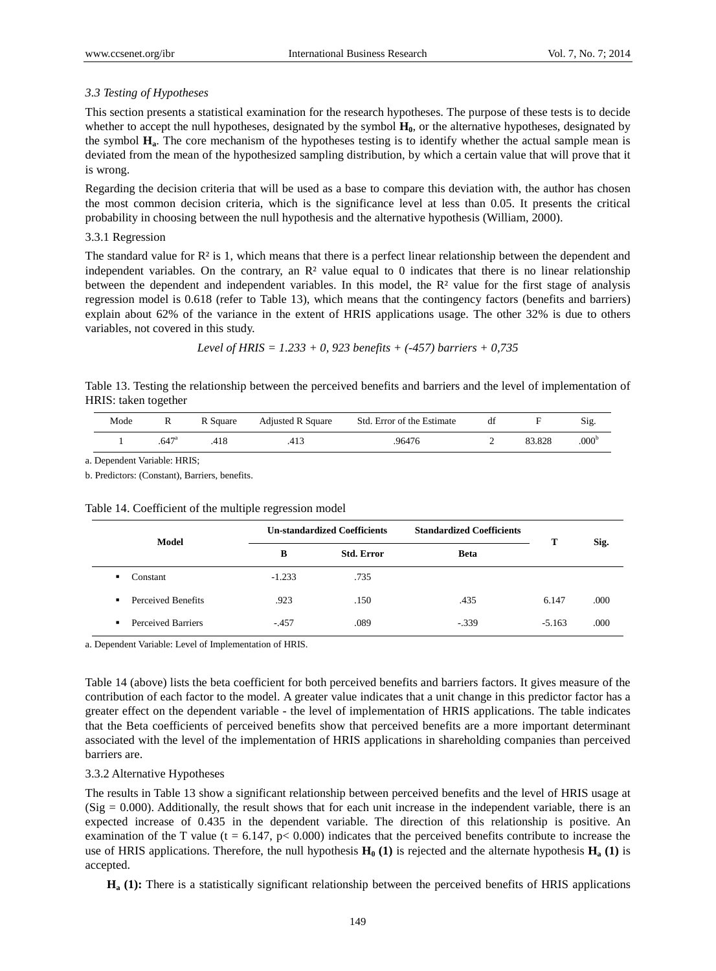#### *3.3 Testing of Hypotheses*

This section presents a statistical examination for the research hypotheses. The purpose of these tests is to decide whether to accept the null hypotheses, designated by the symbol  $\mathbf{H}_0$ , or the alternative hypotheses, designated by the symbol **Ha**. The core mechanism of the hypotheses testing is to identify whether the actual sample mean is deviated from the mean of the hypothesized sampling distribution, by which a certain value that will prove that it is wrong.

Regarding the decision criteria that will be used as a base to compare this deviation with, the author has chosen the most common decision criteria, which is the significance level at less than 0.05. It presents the critical probability in choosing between the null hypothesis and the alternative hypothesis (William, 2000).

#### 3.3.1 Regression

The standard value for R<sup>2</sup>is 1, which means that there is a perfect linear relationship between the dependent and independent variables. On the contrary, an  $\mathbb{R}^2$  value equal to 0 indicates that there is no linear relationship between the dependent and independent variables. In this model, the R²value for the first stage of analysis regression model is 0.618 (refer to Table 13), which means that the contingency factors (benefits and barriers) explain about 62% of the variance in the extent of HRIS applications usage. The other 32% is due to others variables, not covered in this study.

Level of HRIS = 
$$
1.233 + 0
$$
, 923 benefits + (-457) barriers + 0.735

Table 13. Testing the relationship between the perceived benefits and barriers and the level of implementation of HRIS: taken together

| Mode | **                  | R Square | <b>Adjusted R Square</b> | Std. Error of the Estimate | df |        | S1g.              |
|------|---------------------|----------|--------------------------|----------------------------|----|--------|-------------------|
|      | $.647$ <sup>*</sup> | .418     |                          | .96476                     |    | 83.828 | .000 <sup>b</sup> |

a. Dependent Variable: HRIS;

b. Predictors: (Constant), Barriers, benefits.

#### Table 14. Coefficient of the multiple regression model

| Model                                |          | <b>Un-standardized Coefficients</b><br><b>Standardized Coefficients</b> |             | т        | Sig. |
|--------------------------------------|----------|-------------------------------------------------------------------------|-------------|----------|------|
|                                      | B        | <b>Std. Error</b>                                                       | <b>Beta</b> |          |      |
| Constant<br>٠                        | $-1.233$ | .735                                                                    |             |          |      |
| Perceived Benefits<br>$\blacksquare$ | .923     | .150                                                                    | .435        | 6.147    | .000 |
| Perceived Barriers<br>٠              | $-457$   | .089                                                                    | $-.339$     | $-5.163$ | .000 |

a. Dependent Variable: Level of Implementation of HRIS.

Table 14 (above) lists the beta coefficient for both perceived benefits and barriers factors. It gives measure of the contribution of each factor to the model. A greater value indicates that a unit change in this predictor factor has a greater effect on the dependent variable - the level of implementation of HRIS applications. The table indicates that the Beta coefficients of perceived benefits show that perceived benefits are a more important determinant associated with the level of the implementation of HRIS applications in shareholding companies than perceived barriers are.

#### 3.3.2 Alternative Hypotheses

The results in Table 13 show a significant relationship between perceived benefits and the level of HRIS usage at  $(Sig = 0.000)$ . Additionally, the result shows that for each unit increase in the independent variable, there is an expected increase of 0.435 in the dependent variable. The direction of this relationship is positive. An examination of the T value (t =  $6.147$ , p $< 0.000$ ) indicates that the perceived benefits contribute to increase the use of HRIS applications. Therefore, the null hypothesis  $\mathbf{H}_0$  (1) is rejected and the alternate hypothesis  $\mathbf{H}_a$  (1) is accepted.

**H<sup>a</sup> (1):** There is a statistically significant relationship between the perceived benefits of HRIS applications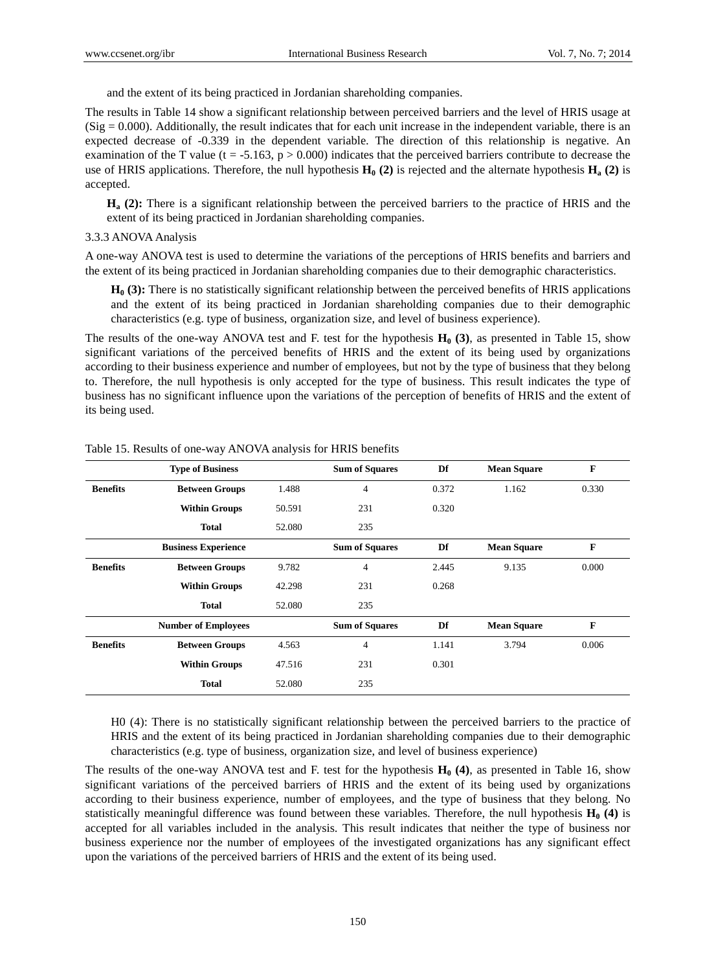and the extent of its being practiced in Jordanian shareholding companies.

The results in Table 14 show a significant relationship between perceived barriers and the level of HRIS usage at  $(Sig = 0.000)$ . Additionally, the result indicates that for each unit increase in the independent variable, there is an expected decrease of -0.339 in the dependent variable. The direction of this relationship is negative. An examination of the T value (t = -5.163, p > 0.000) indicates that the perceived barriers contribute to decrease the use of HRIS applications. Therefore, the null hypothesis  $\mathbf{H}_0$  (2) is rejected and the alternate hypothesis  $\mathbf{H}_a$  (2) is accepted.

**H<sup>a</sup> (2):** There is a significant relationship between the perceived barriers to the practice of HRIS and the extent of its being practiced in Jordanian shareholding companies.

## 3.3.3 ANOVA Analysis

A one-way ANOVA test is used to determine the variations of the perceptions of HRIS benefits and barriers and the extent of its being practiced in Jordanian shareholding companies due to their demographic characteristics.

**H<sup>0</sup> (3):** There is no statistically significant relationship between the perceived benefits of HRIS applications and the extent of its being practiced in Jordanian shareholding companies due to their demographic characteristics (e.g. type of business, organization size, and level of business experience).

The results of the one-way ANOVA test and F. test for the hypothesis **H<sup>0</sup> (3)**, as presented in Table 15, show significant variations of the perceived benefits of HRIS and the extent of its being used by organizations according to their business experience and number of employees, but not by the type of business that they belong to. Therefore, the null hypothesis is only accepted for the type of business. This result indicates the type of business has no significant influence upon the variations of the perception of benefits of HRIS and the extent of its being used.

|                 | <b>Type of Business</b>    |        | <b>Sum of Squares</b> | Df    | <b>Mean Square</b> | $\mathbf{F}$ |
|-----------------|----------------------------|--------|-----------------------|-------|--------------------|--------------|
| <b>Benefits</b> | <b>Between Groups</b>      | 1.488  | $\overline{4}$        | 0.372 | 1.162              | 0.330        |
|                 | <b>Within Groups</b>       | 50.591 | 231                   | 0.320 |                    |              |
|                 | <b>Total</b>               | 52.080 | 235                   |       |                    |              |
|                 | <b>Business Experience</b> |        | <b>Sum of Squares</b> | Df    | <b>Mean Square</b> | $\mathbf F$  |
| <b>Benefits</b> | <b>Between Groups</b>      | 9.782  | $\overline{4}$        | 2.445 | 9.135              | 0.000        |
|                 | <b>Within Groups</b>       | 42.298 | 231                   | 0.268 |                    |              |
|                 | <b>Total</b>               | 52.080 | 235                   |       |                    |              |
|                 | <b>Number of Employees</b> |        | <b>Sum of Squares</b> | Df    | <b>Mean Square</b> | $\mathbf{F}$ |
| <b>Benefits</b> | <b>Between Groups</b>      | 4.563  | $\overline{4}$        | 1.141 | 3.794              | 0.006        |
|                 | <b>Within Groups</b>       | 47.516 | 231                   | 0.301 |                    |              |
|                 | <b>Total</b>               | 52.080 | 235                   |       |                    |              |

Table 15. Results of one-way ANOVA analysis for HRIS benefits

H0 (4): There is no statistically significant relationship between the perceived barriers to the practice of HRIS and the extent of its being practiced in Jordanian shareholding companies due to their demographic characteristics (e.g. type of business, organization size, and level of business experience)

The results of the one-way ANOVA test and F. test for the hypothesis **H<sup>0</sup> (4)**, as presented in Table 16, show significant variations of the perceived barriers of HRIS and the extent of its being used by organizations according to their business experience, number of employees, and the type of business that they belong. No statistically meaningful difference was found between these variables. Therefore, the null hypothesis **H<sup>0</sup> (4)** is accepted for all variables included in the analysis. This result indicates that neither the type of business nor business experience nor the number of employees of the investigated organizations has any significant effect upon the variations of the perceived barriers of HRIS and the extent of its being used.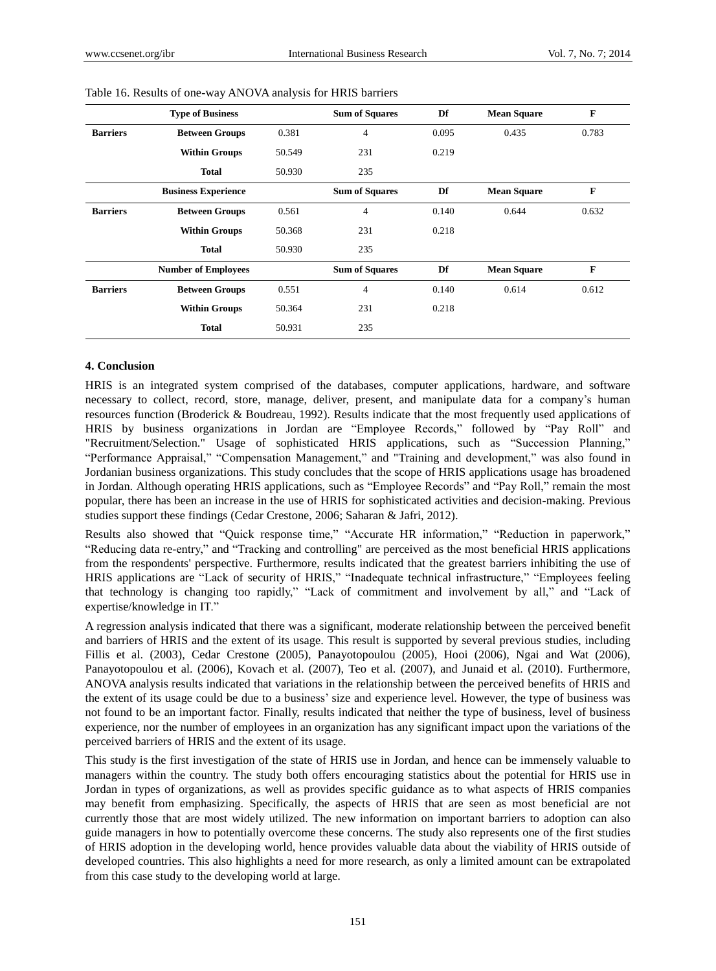|                 | <b>Type of Business</b>    |        | <b>Sum of Squares</b> | Df    | <b>Mean Square</b> | F            |
|-----------------|----------------------------|--------|-----------------------|-------|--------------------|--------------|
| <b>Barriers</b> | <b>Between Groups</b>      | 0.381  | 4                     | 0.095 | 0.435              | 0.783        |
|                 | <b>Within Groups</b>       | 50.549 | 231                   | 0.219 |                    |              |
|                 | <b>Total</b>               | 50.930 | 235                   |       |                    |              |
|                 | <b>Business Experience</b> |        | <b>Sum of Squares</b> | Df    | <b>Mean Square</b> | $\mathbf{F}$ |
| <b>Barriers</b> | <b>Between Groups</b>      | 0.561  | $\overline{4}$        | 0.140 | 0.644              | 0.632        |
|                 | <b>Within Groups</b>       | 50.368 | 231                   | 0.218 |                    |              |
|                 | <b>Total</b>               | 50.930 | 235                   |       |                    |              |
|                 | <b>Number of Employees</b> |        | <b>Sum of Squares</b> | Df    | <b>Mean Square</b> | $\mathbf{F}$ |
| <b>Barriers</b> | <b>Between Groups</b>      | 0.551  | $\overline{4}$        | 0.140 | 0.614              | 0.612        |
|                 | <b>Within Groups</b>       | 50.364 | 231                   | 0.218 |                    |              |
|                 | <b>Total</b>               | 50.931 | 235                   |       |                    |              |

#### Table 16. Results of one-way ANOVA analysis for HRIS barriers

## **4. Conclusion**

HRIS is an integrated system comprised of the databases, computer applications, hardware, and software necessary to collect, record, store, manage, deliver, present, and manipulate data for a company's human resources function (Broderick & Boudreau, 1992). Results indicate that the most frequently used applications of HRIS by business organizations in Jordan are "Employee Records," followed by "Pay Roll" and "Recruitment/Selection." Usage of sophisticated HRIS applications, such as "Succession Planning," "Performance Appraisal," "Compensation Management," and "Training and development," was also found in Jordanian business organizations. This study concludes that the scope of HRIS applications usage has broadened in Jordan. Although operating HRIS applications, such as "Employee Records" and "Pay Roll," remain the most popular, there has been an increase in the use of HRIS for sophisticated activities and decision-making. Previous studies support these findings (Cedar Crestone, 2006; Saharan & Jafri, 2012).

Results also showed that "Quick response time," "Accurate HR information," "Reduction in paperwork," "Reducing data re-entry," and "Tracking and controlling" are perceived as the most beneficial HRIS applications from the respondents' perspective. Furthermore, results indicated that the greatest barriers inhibiting the use of HRIS applications are "Lack of security of HRIS," "Inadequate technical infrastructure," "Employees feeling that technology is changing too rapidly," "Lack of commitment and involvement by all," and "Lack of expertise/knowledge in IT."

A regression analysis indicated that there was a significant, moderate relationship between the perceived benefit and barriers of HRIS and the extent of its usage. This result is supported by several previous studies, including Fillis et al. (2003), Cedar Crestone (2005), Panayotopoulou (2005), Hooi (2006), Ngai and Wat (2006), Panayotopoulou et al. (2006), Kovach et al. (2007), Teo et al. (2007), and Junaid et al. (2010). Furthermore, ANOVA analysis results indicated that variations in the relationship between the perceived benefits of HRIS and the extent of its usage could be due to a business' size and experience level. However, the type of business was not found to be an important factor. Finally, results indicated that neither the type of business, level of business experience, nor the number of employees in an organization has any significant impact upon the variations of the perceived barriers of HRIS and the extent of its usage.

This study is the first investigation of the state of HRIS use in Jordan, and hence can be immensely valuable to managers within the country. The study both offers encouraging statistics about the potential for HRIS use in Jordan in types of organizations, as well as provides specific guidance as to what aspects of HRIS companies may benefit from emphasizing. Specifically, the aspects of HRIS that are seen as most beneficial are not currently those that are most widely utilized. The new information on important barriers to adoption can also guide managers in how to potentially overcome these concerns. The study also represents one of the first studies of HRIS adoption in the developing world, hence provides valuable data about the viability of HRIS outside of developed countries. This also highlights a need for more research, as only a limited amount can be extrapolated from this case study to the developing world at large.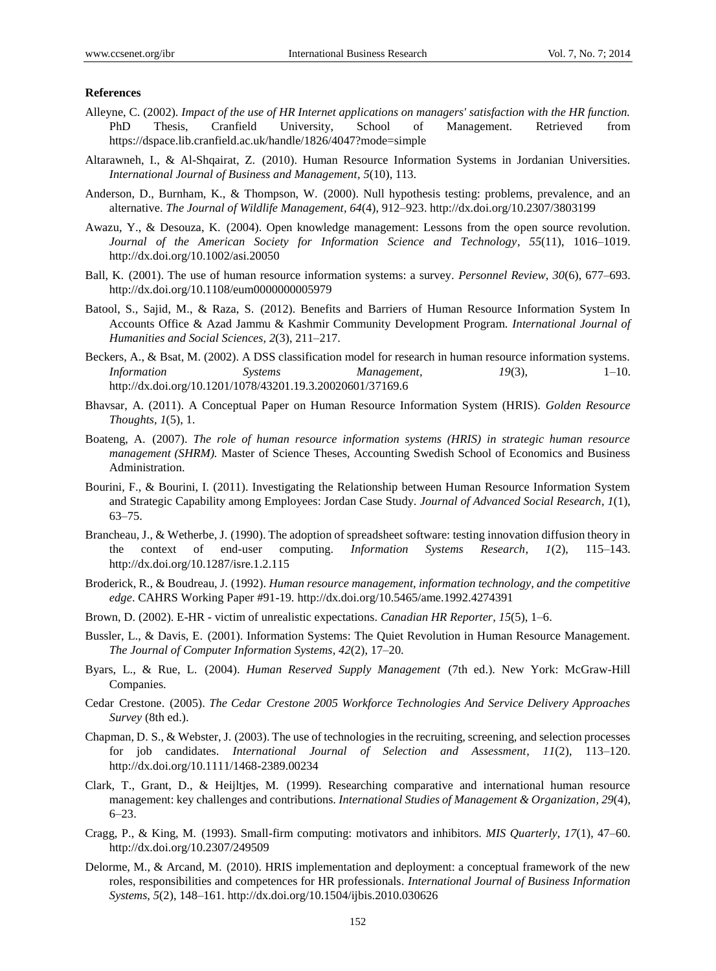#### **References**

- Alleyne, C. (2002). *Impact of the use of HR Internet applications on managers' satisfaction with the HR function.* PhD Thesis, Cranfield University, School of Management. Retrieved from https://dspace.lib.cranfield.ac.uk/handle/1826/4047?mode=simple
- Altarawneh, I., & Al-Shqairat, Z. (2010). Human Resource Information Systems in Jordanian Universities. *International Journal of Business and Management, 5*(10), 113.
- Anderson, D., Burnham, K., & Thompson, W. (2000). Null hypothesis testing: problems, prevalence, and an alternative. *The Journal of Wildlife Management, 64*(4), 912–923. http://dx.doi.org/10.2307/3803199
- Awazu, Y., & Desouza, K. (2004). Open knowledge management: Lessons from the open source revolution. *Journal of the American Society for Information Science and Technology, 55*(11), 1016–1019. http://dx.doi.org/10.1002/asi.20050
- Ball, K. (2001). The use of human resource information systems: a survey. *Personnel Review, 30*(6), 677–693. http://dx.doi.org/10.1108/eum0000000005979
- Batool, S., Sajid, M., & Raza, S. (2012). Benefits and Barriers of Human Resource Information System In Accounts Office & Azad Jammu & Kashmir Community Development Program. *International Journal of Humanities and Social Sciences, 2*(3), 211–217.
- Beckers, A., & Bsat, M. (2002). A DSS classification model for research in human resource information systems. *Information Systems Management, 19*(3), 1–10. http://dx.doi.org/10.1201/1078/43201.19.3.20020601/37169.6
- Bhavsar, A. (2011). A Conceptual Paper on Human Resource Information System (HRIS). *Golden Resource Thoughts, 1*(5), 1.
- Boateng, A. (2007). *The role of human resource information systems (HRIS) in strategic human resource management (SHRM)*. Master of Science Theses, Accounting Swedish School of Economics and Business Administration.
- Bourini, F., & Bourini, I. (2011). Investigating the Relationship between Human Resource Information System and Strategic Capability among Employees: Jordan Case Study. *Journal of Advanced Social Research, 1*(1), 63–75.
- Brancheau, J., & Wetherbe, J. (1990). The adoption of spreadsheet software: testing innovation diffusion theory in the context of end-user computing. *Information Systems Research, 1*(2), 115–143. http://dx.doi.org/10.1287/isre.1.2.115
- Broderick, R., & Boudreau, J. (1992). *Human resource management, information technology, and the competitive edge*. CAHRS Working Paper #91-19*.* http://dx.doi.org/10.5465/ame.1992.4274391
- Brown, D. (2002). E-HR victim of unrealistic expectations. *Canadian HR Reporter, 15*(5), 1–6.
- Bussler, L., & Davis, E. (2001). Information Systems: The Quiet Revolution in Human Resource Management. *The Journal of Computer Information Systems, 42*(2), 17–20.
- Byars, L., & Rue, L. (2004). *Human Reserved Supply Management* (7th ed.). New York: McGraw-Hill Companies.
- Cedar Crestone. (2005). *The Cedar Crestone 2005 Workforce Technologies And Service Delivery Approaches Survey* (8th ed.).
- Chapman, D. S., & Webster, J. (2003). The use of technologies in the recruiting, screening, and selection processes for job candidates. *International Journal of Selection and Assessment, 11*(2), 113–120. http://dx.doi.org/10.1111/1468-2389.00234
- Clark, T., Grant, D., & Heijltjes, M. (1999). Researching comparative and international human resource management: key challenges and contributions. *International Studies of Management & Organization, 29*(4), 6–23.
- Cragg, P., & King, M. (1993). Small-firm computing: motivators and inhibitors. *MIS Quarterly, 17*(1), 47–60. http://dx.doi.org/10.2307/249509
- Delorme, M., & Arcand, M. (2010). HRIS implementation and deployment: a conceptual framework of the new roles, responsibilities and competences for HR professionals. *International Journal of Business Information Systems, 5*(2), 148–161. http://dx.doi.org/10.1504/ijbis.2010.030626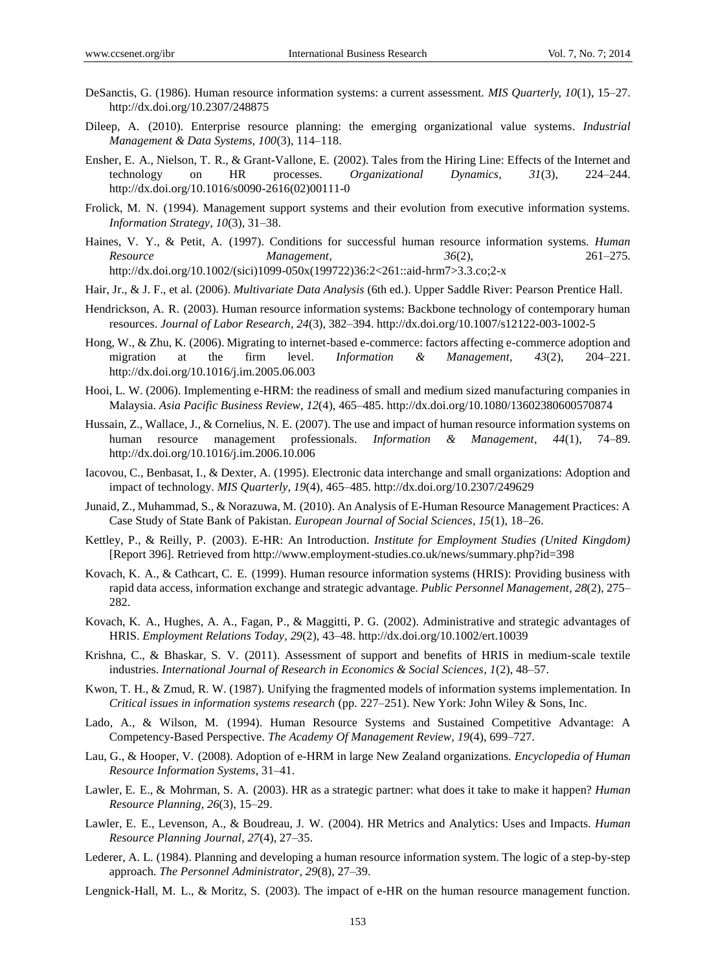- DeSanctis, G. (1986). Human resource information systems: a current assessment. *MIS Quarterly, 10*(1), 15–27. http://dx.doi.org/10.2307/248875
- Dileep, A. (2010). Enterprise resource planning: the emerging organizational value systems. *Industrial Management & Data Systems, 100*(3), 114–118.
- Ensher, E. A., Nielson, T. R., & Grant-Vallone, E. (2002). Tales from the Hiring Line: Effects of the Internet and technology on HR processes. *Organizational Dynamics, 31*(3), 224–244. http://dx.doi.org/10.1016/s0090-2616(02)00111-0
- Frolick, M. N. (1994). Management support systems and their evolution from executive information systems. *Information Strategy, 10*(3), 31–38.
- Haines, V. Y., & Petit, A. (1997). Conditions for successful human resource information systems. *Human Resource Management, 36*(2), 261–275. http://dx.doi.org/10.1002/(sici)1099-050x(199722)36:2<261::aid-hrm7>3.3.co;2-x
- Hair, Jr., & J. F., et al. (2006). *Multivariate Data Analysis* (6th ed.). Upper Saddle River: Pearson Prentice Hall.
- Hendrickson, A. R. (2003). Human resource information systems: Backbone technology of contemporary human resources. *Journal of Labor Research, 24*(3), 382–394. http://dx.doi.org/10.1007/s12122-003-1002-5
- Hong, W., & Zhu, K. (2006). Migrating to internet-based e-commerce: factors affecting e-commerce adoption and migration at the firm level. *Information & Management, 43*(2), 204–221. http://dx.doi.org/10.1016/j.im.2005.06.003
- Hooi, L. W. (2006). Implementing e-HRM: the readiness of small and medium sized manufacturing companies in Malaysia. *Asia Pacific Business Review, 12*(4), 465–485. http://dx.doi.org/10.1080/13602380600570874
- Hussain, Z., Wallace, J., & Cornelius, N. E. (2007). The use and impact of human resource information systems on human resource management professionals. *Information & Management, 44*(1), 74–89. http://dx.doi.org/10.1016/j.im.2006.10.006
- Iacovou, C., Benbasat, I., & Dexter, A. (1995). Electronic data interchange and small organizations: Adoption and impact of technology. *MIS Quarterly, 19*(4), 465–485. http://dx.doi.org/10.2307/249629
- Junaid, Z., Muhammad, S., & Norazuwa, M. (2010). An Analysis of E-Human Resource Management Practices: A Case Study of State Bank of Pakistan. *European Journal of Social Sciences, 15*(1), 18–26.
- Kettley, P., & Reilly, P. (2003). E-HR: An Introduction. *Institute for Employment Studies (United Kingdom)*  [Report 396]. Retrieved from http://www.employment-studies.co.uk/news/summary.php?id=398
- Kovach, K. A., & Cathcart, C. E. (1999). Human resource information systems (HRIS): Providing business with rapid data access, information exchange and strategic advantage. *Public Personnel Management, 28*(2), 275– 282.
- Kovach, K. A., Hughes, A. A., Fagan, P., & Maggitti, P. G. (2002). Administrative and strategic advantages of HRIS. *Employment Relations Today, 29*(2), 43–48. http://dx.doi.org/10.1002/ert.10039
- Krishna, C., & Bhaskar, S. V. (2011). Assessment of support and benefits of HRIS in medium-scale textile industries. *International Journal of Research in Economics & Social Sciences, 1*(2), 48–57.
- Kwon, T. H., & Zmud, R. W. (1987). Unifying the fragmented models of information systems implementation. In *Critical issues in information systems research* (pp. 227–251). New York: John Wiley & Sons, Inc.
- Lado, A., & Wilson, M. (1994). Human Resource Systems and Sustained Competitive Advantage: A Competency-Based Perspective. *The Academy Of Management Review, 19*(4), 699–727.
- Lau, G., & Hooper, V. (2008). Adoption of e-HRM in large New Zealand organizations. *Encyclopedia of Human Resource Information Systems,* 31–41.
- Lawler, E. E., & Mohrman, S. A. (2003). HR as a strategic partner: what does it take to make it happen? *Human Resource Planning, 26*(3), 15–29.
- Lawler, E. E., Levenson, A., & Boudreau, J. W. (2004). HR Metrics and Analytics: Uses and Impacts. *Human Resource Planning Journal, 27*(4), 27–35.
- Lederer, A. L. (1984). Planning and developing a human resource information system. The logic of a step-by-step approach. *The Personnel Administrator, 29*(8), 27–39.
- Lengnick-Hall, M. L., & Moritz, S. (2003). The impact of e-HR on the human resource management function.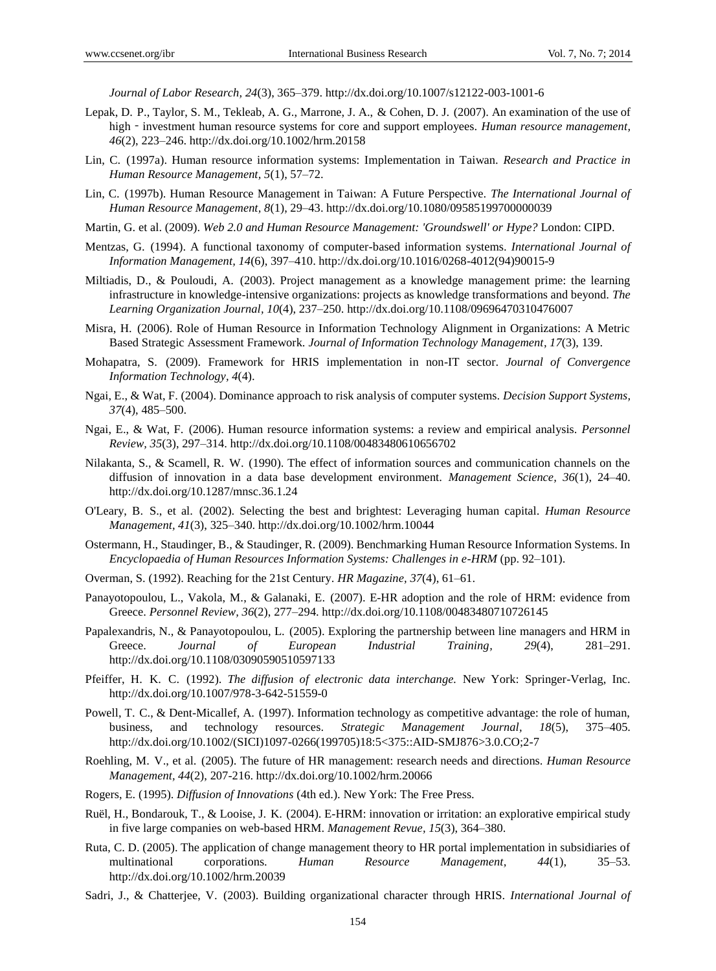*Journal of Labor Research, 24*(3), 365–379. http://dx.doi.org/10.1007/s12122-003-1001-6

- Lepak, D. P., Taylor, S. M., Tekleab, A. G., Marrone, J. A., & Cohen, D. J. (2007). An examination of the use of high - investment human resource systems for core and support employees. *Human resource management*, *46*(2), 223–246. http://dx.doi.org/10.1002/hrm.20158
- Lin, C. (1997a). Human resource information systems: Implementation in Taiwan. *Research and Practice in Human Resource Management, 5*(1), 57–72.
- Lin, C. (1997b). Human Resource Management in Taiwan: A Future Perspective. *The International Journal of Human Resource Management, 8*(1), 29–43. http://dx.doi.org/10.1080/09585199700000039
- Martin, G. et al. (2009). *Web 2.0 and Human Resource Management: 'Groundswell' or Hype?* London: CIPD.
- Mentzas, G. (1994). A functional taxonomy of computer-based information systems. *International Journal of Information Management, 14*(6), 397–410. http://dx.doi.org/10.1016/0268-4012(94)90015-9
- Miltiadis, D., & Pouloudi, A. (2003). Project management as a knowledge management prime: the learning infrastructure in knowledge-intensive organizations: projects as knowledge transformations and beyond. *The Learning Organization Journal, 10*(4), 237–250. http://dx.doi.org/10.1108/09696470310476007
- Misra, H. (2006). Role of Human Resource in Information Technology Alignment in Organizations: A Metric Based Strategic Assessment Framework. *Journal of Information Technology Management, 17*(3), 139.
- Mohapatra, S. (2009). Framework for HRIS implementation in non-IT sector. *Journal of Convergence Information Technology, 4*(4).
- Ngai, E., & Wat, F. (2004). Dominance approach to risk analysis of computer systems. *Decision Support Systems, 37*(4), 485–500.
- Ngai, E., & Wat, F. (2006). Human resource information systems: a review and empirical analysis. *Personnel Review, 35*(3), 297–314. http://dx.doi.org/10.1108/00483480610656702
- Nilakanta, S., & Scamell, R. W. (1990). The effect of information sources and communication channels on the diffusion of innovation in a data base development environment. *Management Science, 36*(1), 24–40. http://dx.doi.org/10.1287/mnsc.36.1.24
- O'Leary, B. S., et al. (2002). Selecting the best and brightest: Leveraging human capital. *Human Resource Management, 41*(3), 325–340. http://dx.doi.org/10.1002/hrm.10044
- Ostermann, H., Staudinger, B., & Staudinger, R. (2009). Benchmarking Human Resource Information Systems. In *Encyclopaedia of Human Resources Information Systems: Challenges in e-HRM* (pp. 92–101).
- Overman, S. (1992). Reaching for the 21st Century. *HR Magazine, 37*(4), 61–61.
- Panayotopoulou, L., Vakola, M., & Galanaki, E. (2007). E-HR adoption and the role of HRM: evidence from Greece. *Personnel Review, 36*(2), 277–294. http://dx.doi.org/10.1108/00483480710726145
- Papalexandris, N., & Panayotopoulou, L. (2005). Exploring the partnership between line managers and HRM in Greece. *Journal of European Industrial Training, 29*(4), 281–291. http://dx.doi.org/10.1108/03090590510597133
- Pfeiffer, H. K. C. (1992). *The diffusion of electronic data interchange.* New York: Springer-Verlag, Inc. http://dx.doi.org/10.1007/978-3-642-51559-0
- Powell, T. C., & Dent-Micallef, A. (1997). Information technology as competitive advantage: the role of human, business, and technology resources. *Strategic Management Journal, 18*(5), 375–405. http://dx.doi.org/10.1002/(SICI)1097-0266(199705)18:5<375::AID-SMJ876>3.0.CO;2-7
- Roehling, M. V., et al. (2005). The future of HR management: research needs and directions. *Human Resource Management, 44*(2), 207-216. http://dx.doi.org/10.1002/hrm.20066
- Rogers, E. (1995). *Diffusion of Innovations* (4th ed.). New York: The Free Press.
- Ruël, H., Bondarouk, T., & Looise, J. K. (2004). E-HRM: innovation or irritation: an explorative empirical study in five large companies on web-based HRM. *Management Revue, 15*(3), 364–380.
- Ruta, C. D. (2005). The application of change management theory to HR portal implementation in subsidiaries of multinational corporations. *Human Resource Management, 44*(1), 35–53. http://dx.doi.org/10.1002/hrm.20039
- Sadri, J., & Chatterjee, V. (2003). Building organizational character through HRIS. *International Journal of*